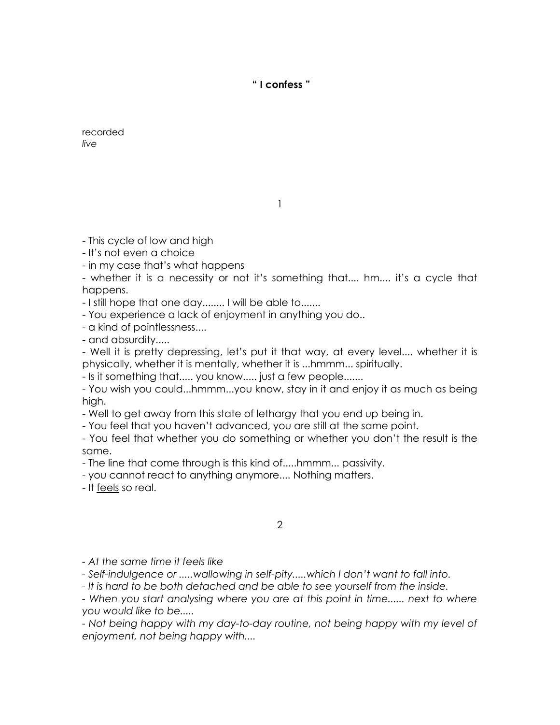**" I confess "** 

recorded *live*

1

- This cycle of low and high

- It's not even a choice

- in my case that's what happens

- whether it is a necessity or not it's something that.... hm.... it's a cycle that happens.

- I still hope that one day........ I will be able to.......

- You experience a lack of enjoyment in anything you do..

- a kind of pointlessness....

- and absurdity.....

- Well it is pretty depressing, let's put it that way, at every level.... whether it is physically, whether it is mentally, whether it is ...hmmm... spiritually.

- Is it something that..... you know..... just a few people.......

- You wish you could...hmmm...you know, stay in it and enjoy it as much as being high.

- Well to get away from this state of lethargy that you end up being in.

- You feel that you haven't advanced, you are still at the same point.

- You feel that whether you do something or whether you don't the result is the same.

- The line that come through is this kind of.....hmmm... passivity.

- you cannot react to anything anymore.... Nothing matters.

- It feels so real.

2

*- At the same time it feels like*

*- Self-indulgence or .....wallowing in self-pity.....which I don't want to fall into.*

*- It is hard to be both detached and be able to see yourself from the inside.*

- When you start analysing where you are at this point in time...... next to where *you would like to be.....*

*- Not being happy with my day-to-day routine, not being happy with my level of enjoyment, not being happy with....*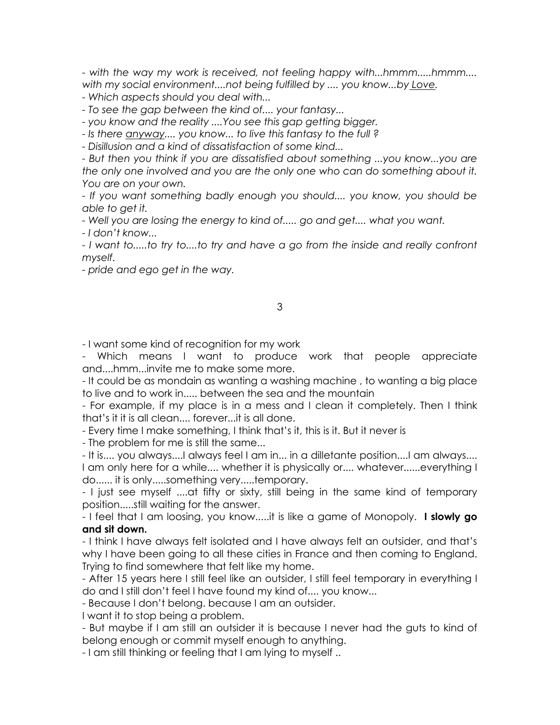*- with the way my work is received, not feeling happy with...hmmm.....hmmm.... with my social environment....not being fulfilled by .... you know...by Love.*

*- Which aspects should you deal with...*

*- To see the gap between the kind of.... your fantasy...*

*- you know and the reality ....You see this gap getting bigger.*

*- Is there anyway.... you know... to live this fantasy to the full ?*

*- Disillusion and a kind of dissatisfaction of some kind...* 

*- But then you think if you are dissatisfied about something ...you know...you are the only one involved and you are the only one who can do something about it. You are on your own.*

*- If you want something badly enough you should.... you know, you should be able to get it.*

*- Well you are losing the energy to kind of..... go and get.... what you want.*

*- I don't know...*

*- I want to.....to try to....to try and have a go from the inside and really confront myself.*

*- pride and ego get in the way.*

## 3

- I want some kind of recognition for my work

- Which means I want to produce work that people appreciate and....hmm...invite me to make some more.

- It could be as mondain as wanting a washing machine , to wanting a big place to live and to work in..... between the sea and the mountain

- For example, if my place is in a mess and I clean it completely. Then I think that's it it is all clean.... forever...it is all done.

- Every time I make something, I think that's it, this is it. But it never is

- The problem for me is still the same...

- It is.... you always....I always feel I am in... in a dilletante position....I am always....

I am only here for a while.... whether it is physically or.... whatever......everything I do...... it is only.....something very.....temporary.

- I just see myself ....at fifty or sixty, still being in the same kind of temporary position.....still waiting for the answer.

- I feel that I am loosing, you know.....it is like a game of Monopoly. **I slowly go and sit down.**

- I think I have always felt isolated and I have always felt an outsider, and that's why I have been going to all these cities in France and then coming to England. Trying to find somewhere that felt like my home.

- After 15 years here I still feel like an outsider, I still feel temporary in everything I do and I still don't feel I have found my kind of.... you know...

- Because I don't belong. because I am an outsider.

I want it to stop being a problem.

- But maybe if I am still an outsider it is because I never had the guts to kind of belong enough or commit myself enough to anything.

- I am still thinking or feeling that I am lying to myself ..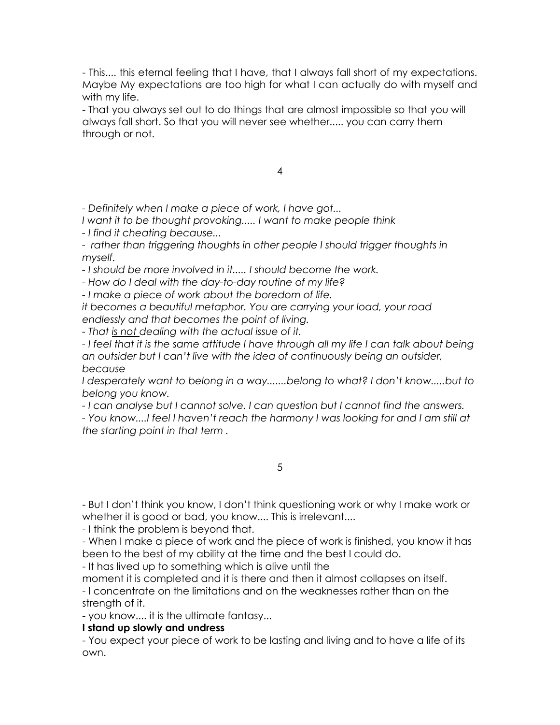- This.... this eternal feeling that I have, that I always fall short of my expectations. Maybe My expectations are too high for what I can actually do with myself and with my life.

- That you always set out to do things that are almost impossible so that you will always fall short. So that you will never see whether..... you can carry them through or not.

4

*- Definitely when I make a piece of work, I have got...*

*I want it to be thought provoking..... I want to make people think*

*- I find it cheating because...*

- rather than triggering thoughts in other people I should trigger thoughts in *myself.*

*- I should be more involved in it..... I should become the work.*

*- How do I deal with the day-to-day routine of my life?* 

*- I make a piece of work about the boredom of life.* 

*it becomes a beautiful metaphor. You are carrying your load, your road endlessly and that becomes the point of living.*

*- That is not dealing with the actual issue of it.*

*- I feel that it is the same attitude I have through all my life I can talk about being an outsider but I can't live with the idea of continuously being an outsider, because* 

*I desperately want to belong in a way.......belong to what? I don't know.....but to belong you know.*

*- I can analyse but I cannot solve. I can question but I cannot find the answers.*

*- You know....I feel I haven't reach the harmony I was looking for and I am still at the starting point in that term .*

5

- But I don't think you know, I don't think questioning work or why I make work or whether it is good or bad, you know.... This is irrelevant....

- I think the problem is beyond that.

- When I make a piece of work and the piece of work is finished, you know it has been to the best of my ability at the time and the best I could do.

- It has lived up to something which is alive until the

moment it is completed and it is there and then it almost collapses on itself.

- I concentrate on the limitations and on the weaknesses rather than on the strength of it.

- you know.... it is the ultimate fantasy...

## **I stand up slowly and undress**

- You expect your piece of work to be lasting and living and to have a life of its own.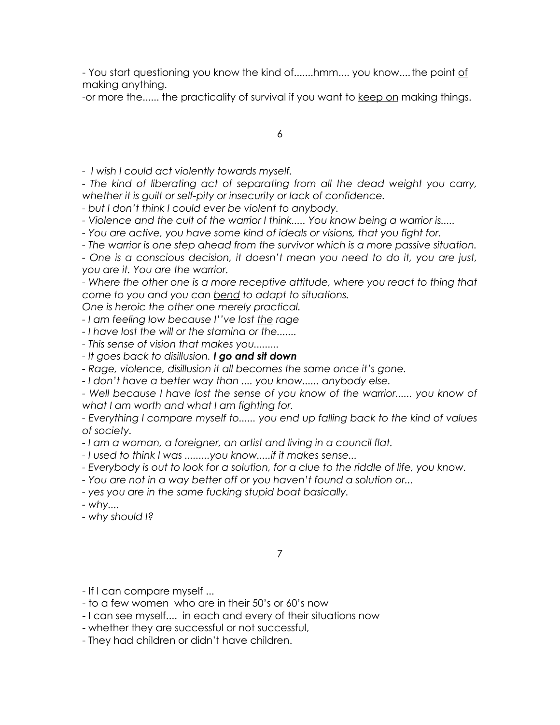- You start questioning you know the kind of.......hmm.... you know....the point of making anything.

-or more the...... the practicality of survival if you want to keep on making things.

6

*- I wish I could act violently towards myself.*

*- The kind of liberating act of separating from all the dead weight you carry, whether it is guilt or self-pity or insecurity or lack of confidence.*

*- but I don't think I could ever be violent to anybody.*

*- Violence and the cult of the warrior I think..... You know being a warrior is.....*

*- You are active, you have some kind of ideals or visions, that you fight for.*

*- The warrior is one step ahead from the survivor which is a more passive situation.*

*- One is a conscious decision, it doesn't mean you need to do it, you are just, you are it. You are the warrior.*

- Where the other one is a more receptive attitude, where you react to thing that *come to you and you can bend to adapt to situations.* 

*One is heroic the other one merely practical.*

*- I am feeling low because I''ve lost the rage*

*- I have lost the will or the stamina or the.......*

*- This sense of vision that makes you.........*

*- It goes back to disillusion. I go and sit down*

*- Rage, violence, disillusion it all becomes the same once it's gone.*

*- I don't have a better way than .... you know...... anybody else.*

- Well because I have lost the sense of you know of the warrior...... you know of *what I am worth and what I am fighting for.*

*- Everything I compare myself to...... you end up falling back to the kind of values of society.*

*- I am a woman, a foreigner, an artist and living in a council flat.*

*- I used to think I was .........you know.....if it makes sense...*

*- Everybody is out to look for a solution, for a clue to the riddle of life, you know.*

*- You are not in a way better off or you haven't found a solution or...*

*- yes you are in the same fucking stupid boat basically.*

*- why....*

*- why should I?*

7

- If I can compare myself ...

- to a few women who are in their 50's or 60's now
- I can see myself.... in each and every of their situations now
- whether they are successful or not successful,
- They had children or didn't have children.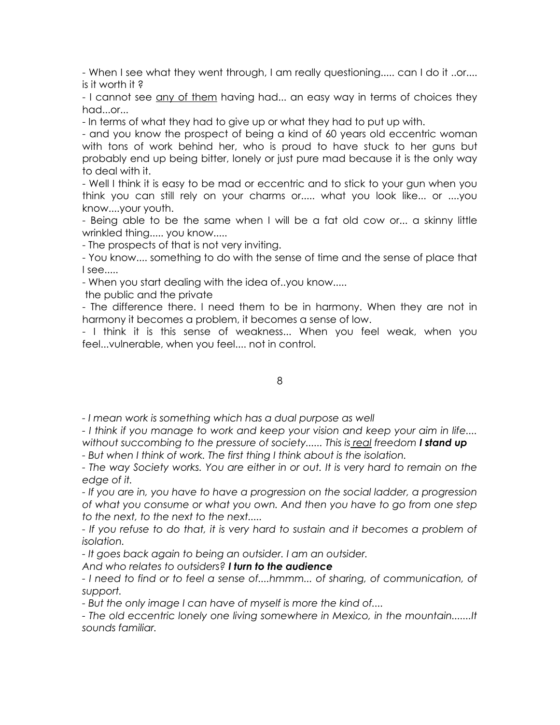- When I see what they went through, I am really questioning..... can I do it ..or.... is it worth it ?

- I cannot see any of them having had... an easy way in terms of choices they had...or...

- In terms of what they had to give up or what they had to put up with.

- and you know the prospect of being a kind of 60 years old eccentric woman with tons of work behind her, who is proud to have stuck to her guns but probably end up being bitter, lonely or just pure mad because it is the only way to deal with it.

- Well I think it is easy to be mad or eccentric and to stick to your gun when you think you can still rely on your charms or..... what you look like... or ....you know....your youth.

- Being able to be the same when I will be a fat old cow or... a skinny little wrinkled thing..... you know.....

- The prospects of that is not very inviting.

- You know.... something to do with the sense of time and the sense of place that I see.....

- When you start dealing with the idea of..you know.....

the public and the private

- The difference there. I need them to be in harmony. When they are not in harmony it becomes a problem, it becomes a sense of low.

- I think it is this sense of weakness... When you feel weak, when you feel...vulnerable, when you feel.... not in control.

## 8

*- I mean work is something which has a dual purpose as well*

*- I think if you manage to work and keep your vision and keep your aim in life.... without succombing to the pressure of society...... This is real freedom I stand up* 

*- But when I think of work. The first thing I think about is the isolation.* 

*- The way Society works. You are either in or out. It is very hard to remain on the edge of it.*

*- If you are in, you have to have a progression on the social ladder, a progression of what you consume or what you own. And then you have to go from one step to the next, to the next to the next.....*

- If you refuse to do that, it is very hard to sustain and it becomes a problem of *isolation.*

*- It goes back again to being an outsider. I am an outsider.* 

*And who relates to outsiders? I turn to the audience*

*- I need to find or to feel a sense of....hmmm... of sharing, of communication, of support.*

*- But the only image I can have of myself is more the kind of....*

*- The old eccentric lonely one living somewhere in Mexico, in the mountain.......It sounds familiar.*